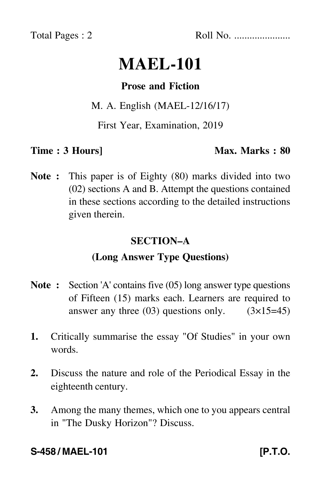Total Pages : 2 Roll No. ......................

# **MAEL-101**

#### **Prose and Fiction**

#### M. A. English (MAEL-12/16/17)

First Year, Examination, 2019

**Time : 3 Hours]** Max. Marks : 80

**Note :** This paper is of Eighty (80) marks divided into two (02) sections A and B. Attempt the questions contained in these sections according to the detailed instructions given therein.

#### **SECTION–A**

## **(Long Answer Type Questions)**

- **Note :** Section 'A' contains five (05) long answer type questions of Fifteen (15) marks each. Learners are required to answer any three  $(03)$  questions only.  $(3\times15=45)$
- **1.** Critically summarise the essay "Of Studies" in your own words.
- **2.** Discuss the nature and role of the Periodical Essay in the eighteenth century.
- **3.** Among the many themes, which one to you appears central in "The Dusky Horizon"? Discuss.

## **S-458 / MAEL-101 [P.T.O.**